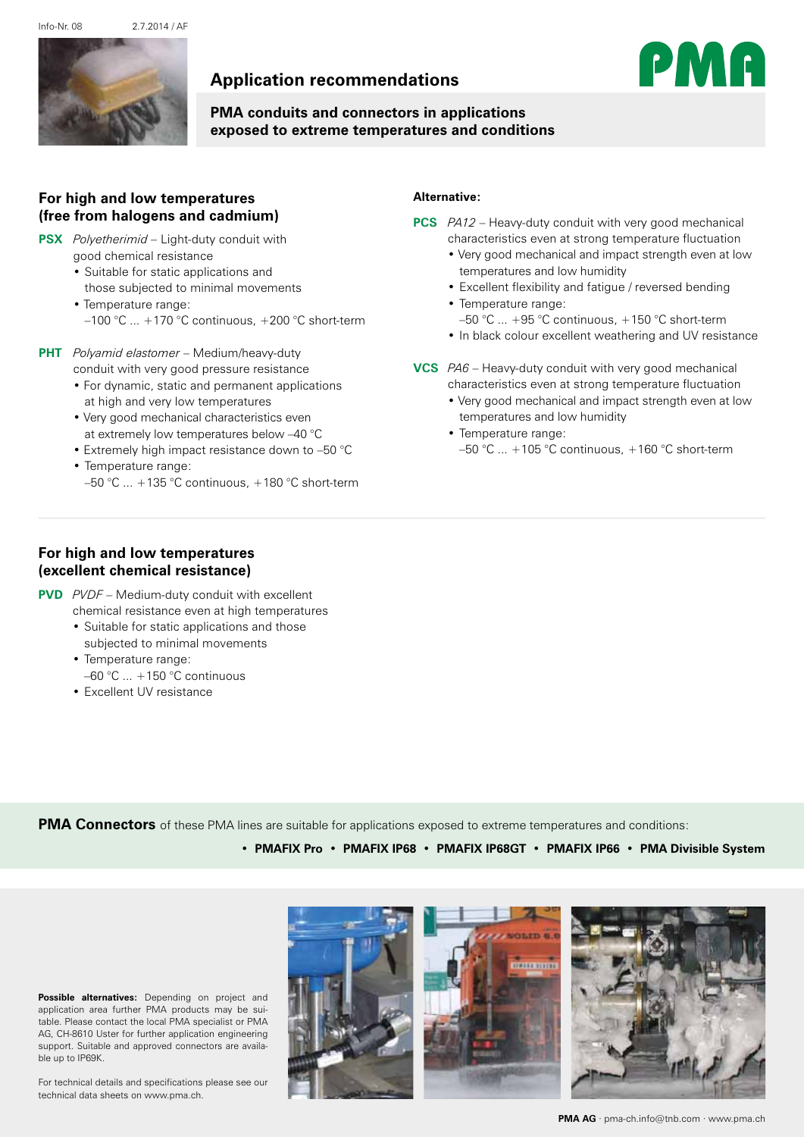Info-Nr. 08 2.7.2014 / AF



# **Application recommendations**



## **PMA conduits and connectors in applications exposed to extreme temperatures and conditions**

### **For high and low temperatures (free from halogens and cadmium)**

- **[PSX](http://www.pma.ch/pma_com/downloads/datasheet/13925.pdf)** *Polyetherimid –* Light-duty conduit with
	- good chemical resistance
	- • Suitable for static applications and those subjected to minimal movements

 • Temperature range:  $-100$  °C  $...$  +170 °C continuous, +200 °C short-term

- **[PHT](http://www.pma.ch/pma_com/downloads/datasheet/11900.pdf)** *Polyamid elastomer* Medium/heavy-duty conduit with very good pressure resistance
	- For dynamic, static and permanent applications at high and very low temperatures
	- Very good mechanical characteristics even at extremely low temperatures below –40 °C
	- Extremely high impact resistance down to –50 °C • Temperature range:
	- $-50$  °C  $\ldots$  +135 °C continuous, +180 °C short-term

#### **Alternative:**

- **[PCS](http://www.pma.ch/pma_com/downloads/datasheet/11020.pdf)** *PA12*  Heavy-duty conduit with very good mechanical characteristics even at strong temperature fluctuation
	- Very good mechanical and impact strength even at low temperatures and low humidity
	- Excellent flexibility and fatigue / reversed bending
	- Temperature range:  $-50$  °C  $\ldots$  +95 °C continuous, +150 °C short-term
	- In black colour excellent weathering and UV resistance
- **[VCS](http://www.pma.ch/pma_com/downloads/datasheet/10060.pdf)** *PA6* Heavy-duty conduit with very good mechanical characteristics even at strong temperature fluctuation
	- Very good mechanical and impact strength even at low temperatures and low humidity
	- Temperature range: –50 °C ... +105 °C continuous, +160 °C short-term

### **For high and low temperatures (excellent chemical resistance)**

- **[PVD](http://www.pma.ch/pma_com/downloads/datasheet/19060.pdf)** *PVDF* Medium-duty conduit with excellent
	- chemical resistance even at high temperatures • Suitable for static applications and those
	- subjected to minimal movements • Temperature range:
	- $-60$  °C  $...$  +150 °C continuous
	- • Excellent UV resistance

**PMA Connectors** of these PMA lines are suitable for applications exposed to extreme temperatures and conditions:

• **PMAFIX Pro** • **PMAFIX IP68** • **PMAFIX IP68GT** • **PMAFIX IP66** • **PMA Divisible System** 

**Possible alternatives:** Depending on project and application area further PMA products may be suitable. Please contact the local PMA specialist or PMA AG, CH-8610 Uster for further application engineering support. Suitable and approved connectors are available up to IP69K.

For technical details and specifications please see our technical data sheets on www.pma.ch.



**PMA AG** · pma-ch.info@tnb.com · www.pma.ch